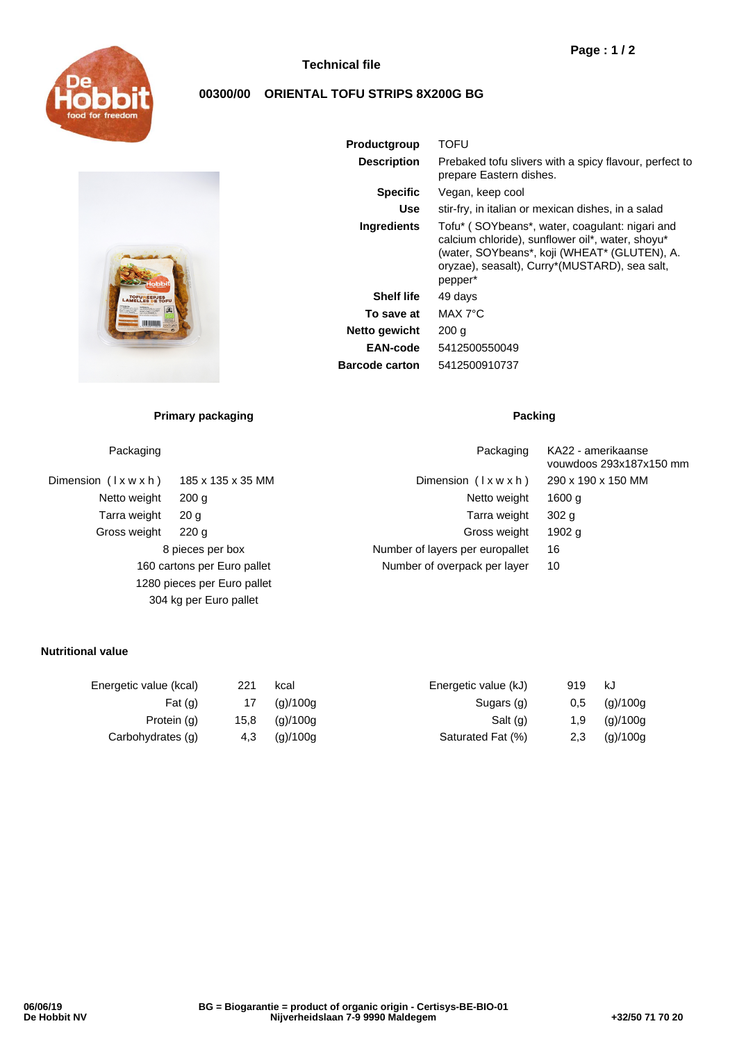

# **Technical file**

# **00300/00 ORIENTAL TOFU STRIPS 8X200G BG**



| Productgroup          | TOFU                                                                                                                                                                                                           |  |  |  |
|-----------------------|----------------------------------------------------------------------------------------------------------------------------------------------------------------------------------------------------------------|--|--|--|
| <b>Description</b>    | Prebaked tofu slivers with a spicy flavour, perfect to<br>prepare Eastern dishes.                                                                                                                              |  |  |  |
| <b>Specific</b>       | Vegan, keep cool                                                                                                                                                                                               |  |  |  |
| Use                   | stir-fry, in italian or mexican dishes, in a salad                                                                                                                                                             |  |  |  |
| <b>Ingredients</b>    | Tofu* (SOYbeans*, water, coagulant: nigari and<br>calcium chloride), sunflower oil*, water, shoyu*<br>(water, SOYbeans*, koji (WHEAT* (GLUTEN), A.<br>oryzae), seasalt), Curry*(MUSTARD), sea salt,<br>pepper* |  |  |  |
| <b>Shelf life</b>     | 49 days                                                                                                                                                                                                        |  |  |  |
| To save at            | MAX 7°C                                                                                                                                                                                                        |  |  |  |
| <b>Netto gewicht</b>  | 200 g                                                                                                                                                                                                          |  |  |  |
| EAN-code              | 5412500550049                                                                                                                                                                                                  |  |  |  |
| <b>Barcode carton</b> | 5412500910737                                                                                                                                                                                                  |  |  |  |

## **Primary packaging Packing Packing**

| Dimension (Ixwxh)<br>185 x 135 x 35 MM<br>Dimension $(\forall x w x h)$<br>290 x 190 x 150 MM<br>Netto weight<br>Netto weight<br>200 <sub>q</sub><br>1600 g | KA22 - amerikaanse<br>vouwdoos 293x187x150 mm |  |
|-------------------------------------------------------------------------------------------------------------------------------------------------------------|-----------------------------------------------|--|
|                                                                                                                                                             |                                               |  |
|                                                                                                                                                             |                                               |  |
| Tarra weight<br>Tarra weight<br>302 <sub>g</sub><br>20 <sub>q</sub>                                                                                         |                                               |  |
| Gross weight<br>Gross weight<br>1902 g<br>220q                                                                                                              |                                               |  |
| Number of layers per europallet<br>8 pieces per box<br>16                                                                                                   |                                               |  |
| 160 cartons per Euro pallet<br>Number of overpack per layer<br>10                                                                                           |                                               |  |
| 1280 pieces per Euro pallet                                                                                                                                 |                                               |  |
| 304 kg per Euro pallet                                                                                                                                      |                                               |  |

### **Nutritional value**

| Energetic value (kcal) | 221  | kcal     | Energetic value (kJ) | 919 | kJ.      |
|------------------------|------|----------|----------------------|-----|----------|
| Fat $(q)$              | 17   | (q)/100q | Sugars (g)           | 0.5 | (g)/100g |
| Protein (g)            | 15,8 | (q)/100q | Salt $(q)$           | 1.9 | (g)/100g |
| Carbohydrates (g)      | 4.3  | (g)/100g | Saturated Fat (%)    | 2,3 | (g)/100g |